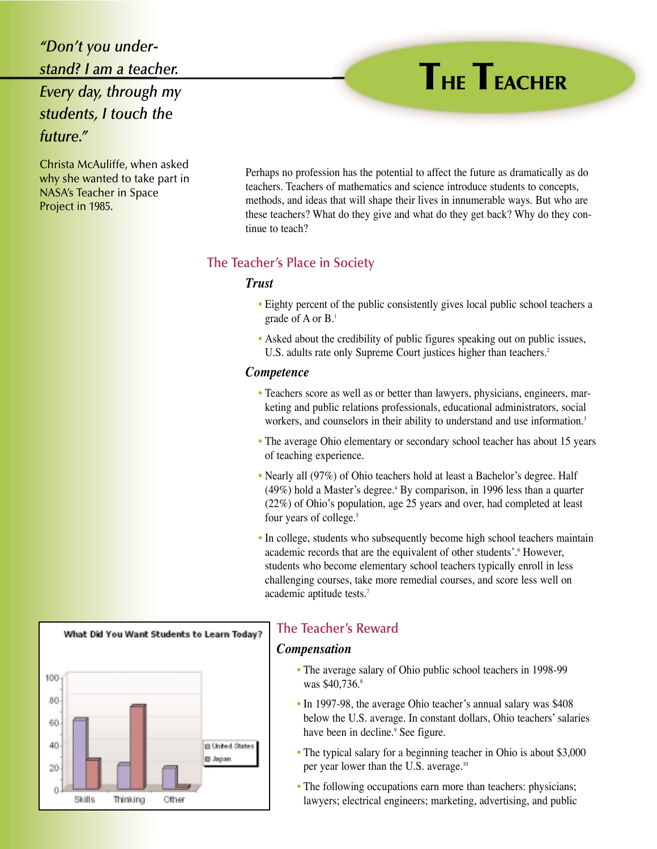# *"Don't you understand? I am a teacher. Every day, through my students, I touch the future."*

Christa McAuliffe, when asked why she wanted to take part in NASA's Teacher in Space Project in 1985.

Perhaps no profession has the potential to affect the future as dramatically as do teachers. Teachers of mathematics and science introduce students to concepts, methods, and ideas that will shape their lives in innumerable ways. But who are these teachers? What do they give and what do they get back? Why do they continue to teach?

# **The Teacher's Place in Society**

## *Trust*

- Eighty percent of the public consistently gives local public school teachers a grade of A or B.1
- Asked about the credibility of public figures speaking out on public issues, U.S. adults rate only Supreme Court justices higher than teachers.<sup>2</sup>

#### *Competence*

- Teachers score as well as or better than lawyers, physicians, engineers, marketing and public relations professionals, educational administrators, social workers, and counselors in their ability to understand and use information.<sup>3</sup>
- The average Ohio elementary or secondary school teacher has about 15 years of teaching experience.
- Nearly all (97%) of Ohio teachers hold at least a Bachelor's degree. Half  $(49%)$  hold a Master's degree.<sup>4</sup> By comparison, in 1996 less than a quarter (22%) of Ohio's population, age 25 years and over, had completed at least four years of college.<sup>5</sup>
- In college, students who subsequently become high school teachers maintain academic records that are the equivalent of other students'.6 However, students who become elementary school teachers typically enroll in less challenging courses, take more remedial courses, and score less well on academic aptitude tests.7



# **The Teacher's Reward**

### *Compensation*

- The average salary of Ohio public school teachers in 1998-99 was \$40,736.8
- In 1997-98, the average Ohio teacher's annual salary was \$408 below the U.S. average. In constant dollars, Ohio teachers' salaries have been in decline.<sup>9</sup> See figure.
- The typical salary for a beginning teacher in Ohio is about \$3,000 per year lower than the U.S. average.10
- The following occupations earn more than teachers: physicians; lawyers; electrical engineers; marketing, advertising, and public

# **THE TEACHER**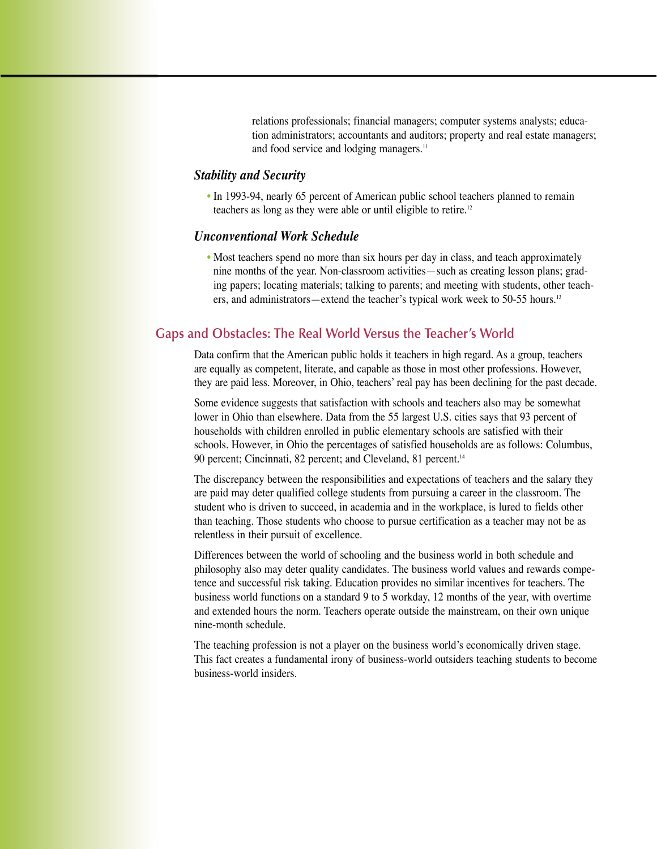relations professionals; financial managers; computer systems analysts; education administrators; accountants and auditors; property and real estate managers; and food service and lodging managers.<sup>11</sup>

### *Stability and Security*

• In 1993-94, nearly 65 percent of American public school teachers planned to remain teachers as long as they were able or until eligible to retire.12

### *Unconventional Work Schedule*

• Most teachers spend no more than six hours per day in class, and teach approximately nine months of the year. Non-classroom activities—such as creating lesson plans; grading papers; locating materials; talking to parents; and meeting with students, other teachers, and administrators—extend the teacher's typical work week to 50-55 hours.<sup>13</sup>

### **Gaps and Obstacles: The Real World Versus the Teacher's World**

Data confirm that the American public holds it teachers in high regard. As a group, teachers are equally as competent, literate, and capable as those in most other professions. However, they are paid less. Moreover, in Ohio, teachers' real pay has been declining for the past decade.

Some evidence suggests that satisfaction with schools and teachers also may be somewhat lower in Ohio than elsewhere. Data from the 55 largest U.S. cities says that 93 percent of households with children enrolled in public elementary schools are satisfied with their schools. However, in Ohio the percentages of satisfied households are as follows: Columbus, 90 percent; Cincinnati, 82 percent; and Cleveland, 81 percent.<sup>14</sup>

The discrepancy between the responsibilities and expectations of teachers and the salary they are paid may deter qualified college students from pursuing a career in the classroom. The student who is driven to succeed, in academia and in the workplace, is lured to fields other than teaching. Those students who choose to pursue certification as a teacher may not be as relentless in their pursuit of excellence.

Differences between the world of schooling and the business world in both schedule and philosophy also may deter quality candidates. The business world values and rewards competence and successful risk taking. Education provides no similar incentives for teachers. The business world functions on a standard 9 to 5 workday, 12 months of the year, with overtime and extended hours the norm. Teachers operate outside the mainstream, on their own unique nine-month schedule.

The teaching profession is not a player on the business world's economically driven stage. This fact creates a fundamental irony of business-world outsiders teaching students to become business-world insiders.